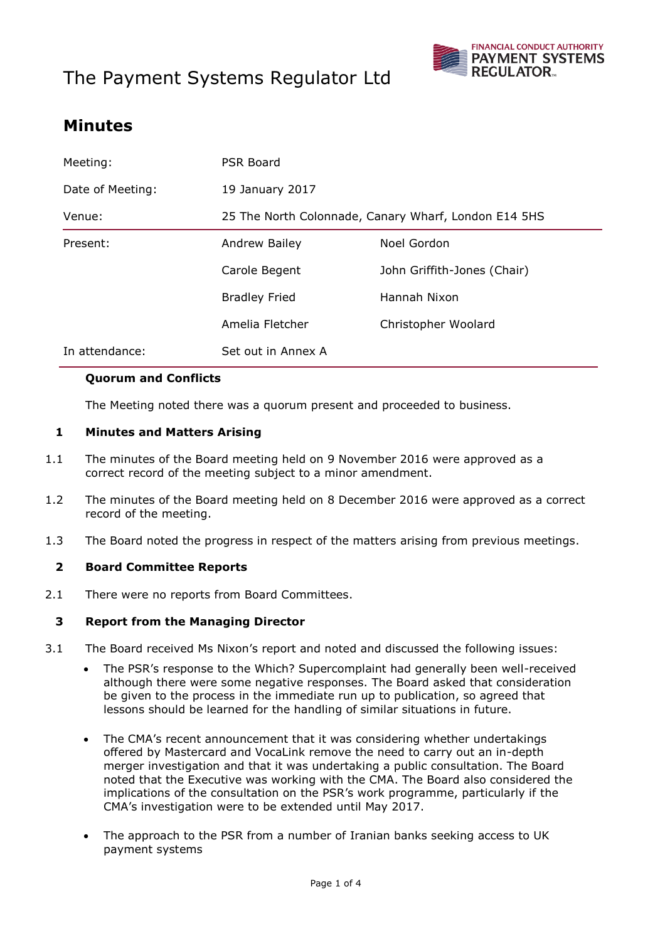# The Payment Systems Regulator Ltd



### **Minutes**

| Meeting:         | PSR Board                                            |                             |
|------------------|------------------------------------------------------|-----------------------------|
| Date of Meeting: | 19 January 2017                                      |                             |
| Venue:           | 25 The North Colonnade, Canary Wharf, London E14 5HS |                             |
| Present:         | Andrew Bailey                                        | Noel Gordon                 |
|                  | Carole Begent                                        | John Griffith-Jones (Chair) |
|                  | <b>Bradley Fried</b>                                 | Hannah Nixon                |
|                  | Amelia Fletcher                                      | Christopher Woolard         |
| In attendance:   | Set out in Annex A                                   |                             |

#### **Quorum and Conflicts**

The Meeting noted there was a quorum present and proceeded to business.

#### **1 Minutes and Matters Arising**

- 1.1 The minutes of the Board meeting held on 9 November 2016 were approved as a correct record of the meeting subject to a minor amendment.
- 1.2 The minutes of the Board meeting held on 8 December 2016 were approved as a correct record of the meeting.
- 1.3 The Board noted the progress in respect of the matters arising from previous meetings.

#### **2 Board Committee Reports**

2.1 There were no reports from Board Committees.

#### **3 Report from the Managing Director**

- 3.1 The Board received Ms Nixon's report and noted and discussed the following issues:
	- The PSR's response to the Which? Supercomplaint had generally been well-received although there were some negative responses. The Board asked that consideration be given to the process in the immediate run up to publication, so agreed that lessons should be learned for the handling of similar situations in future.
	- The CMA's recent announcement that it was considering whether undertakings offered by Mastercard and VocaLink remove the need to carry out an in-depth merger investigation and that it was undertaking a public consultation. The Board noted that the Executive was working with the CMA. The Board also considered the implications of the consultation on the PSR's work programme, particularly if the CMA's investigation were to be extended until May 2017.
	- The approach to the PSR from a number of Iranian banks seeking access to UK payment systems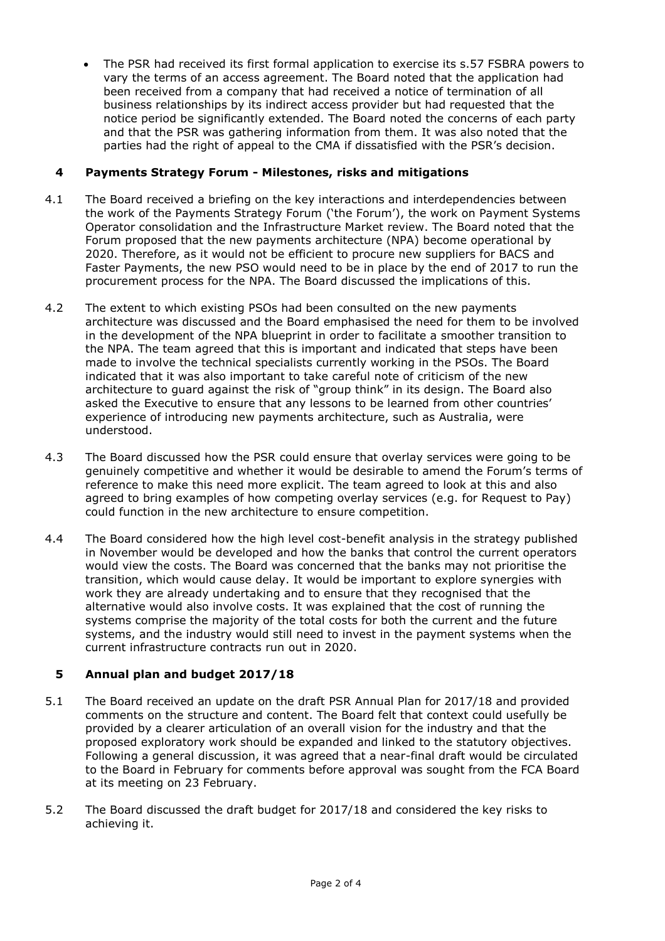The PSR had received its first formal application to exercise its s.57 FSBRA powers to vary the terms of an access agreement. The Board noted that the application had been received from a company that had received a notice of termination of all business relationships by its indirect access provider but had requested that the notice period be significantly extended. The Board noted the concerns of each party and that the PSR was gathering information from them. It was also noted that the parties had the right of appeal to the CMA if dissatisfied with the PSR's decision.

#### **4 Payments Strategy Forum - Milestones, risks and mitigations**

- 4.1 The Board received a briefing on the key interactions and interdependencies between the work of the Payments Strategy Forum ('the Forum'), the work on Payment Systems Operator consolidation and the Infrastructure Market review. The Board noted that the Forum proposed that the new payments architecture (NPA) become operational by 2020. Therefore, as it would not be efficient to procure new suppliers for BACS and Faster Payments, the new PSO would need to be in place by the end of 2017 to run the procurement process for the NPA. The Board discussed the implications of this.
- 4.2 The extent to which existing PSOs had been consulted on the new payments architecture was discussed and the Board emphasised the need for them to be involved in the development of the NPA blueprint in order to facilitate a smoother transition to the NPA. The team agreed that this is important and indicated that steps have been made to involve the technical specialists currently working in the PSOs. The Board indicated that it was also important to take careful note of criticism of the new architecture to guard against the risk of "group think" in its design. The Board also asked the Executive to ensure that any lessons to be learned from other countries' experience of introducing new payments architecture, such as Australia, were understood.
- 4.3 The Board discussed how the PSR could ensure that overlay services were going to be genuinely competitive and whether it would be desirable to amend the Forum's terms of reference to make this need more explicit. The team agreed to look at this and also agreed to bring examples of how competing overlay services (e.g. for Request to Pay) could function in the new architecture to ensure competition.
- 4.4 The Board considered how the high level cost-benefit analysis in the strategy published in November would be developed and how the banks that control the current operators would view the costs. The Board was concerned that the banks may not prioritise the transition, which would cause delay. It would be important to explore synergies with work they are already undertaking and to ensure that they recognised that the alternative would also involve costs. It was explained that the cost of running the systems comprise the majority of the total costs for both the current and the future systems, and the industry would still need to invest in the payment systems when the current infrastructure contracts run out in 2020.

#### **5 Annual plan and budget 2017/18**

- 5.1 The Board received an update on the draft PSR Annual Plan for 2017/18 and provided comments on the structure and content. The Board felt that context could usefully be provided by a clearer articulation of an overall vision for the industry and that the proposed exploratory work should be expanded and linked to the statutory objectives. Following a general discussion, it was agreed that a near-final draft would be circulated to the Board in February for comments before approval was sought from the FCA Board at its meeting on 23 February.
- 5.2 The Board discussed the draft budget for 2017/18 and considered the key risks to achieving it.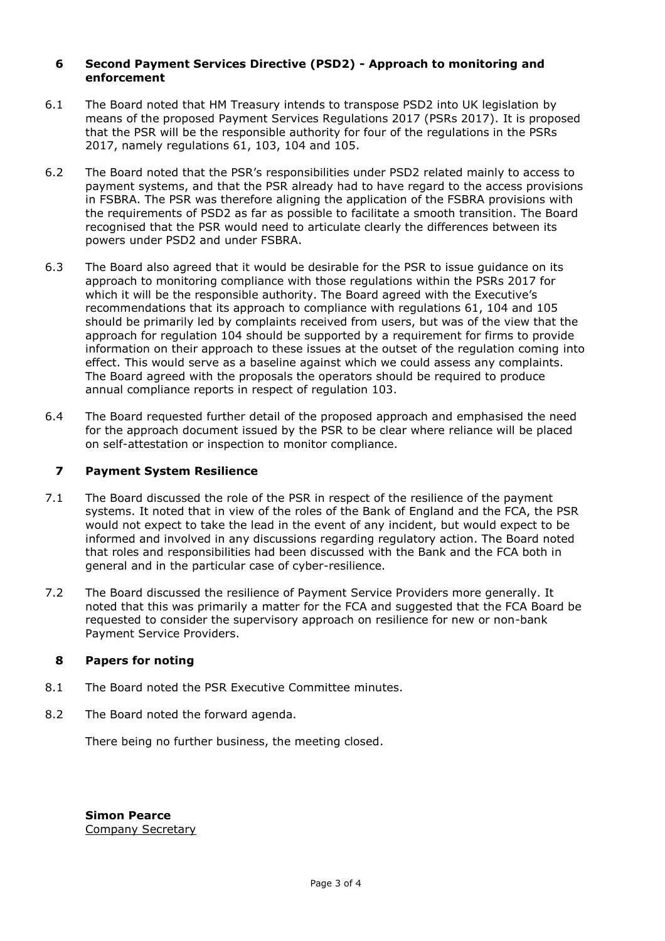#### **6 Second Payment Services Directive (PSD2) - Approach to monitoring and enforcement**

- 6.1 The Board noted that HM Treasury intends to transpose PSD2 into UK legislation by means of the proposed Payment Services Regulations 2017 (PSRs 2017). It is proposed that the PSR will be the responsible authority for four of the regulations in the PSRs 2017, namely regulations 61, 103, 104 and 105.
- 6.2 The Board noted that the PSR's responsibilities under PSD2 related mainly to access to payment systems, and that the PSR already had to have regard to the access provisions in FSBRA. The PSR was therefore aligning the application of the FSBRA provisions with the requirements of PSD2 as far as possible to facilitate a smooth transition. The Board recognised that the PSR would need to articulate clearly the differences between its powers under PSD2 and under FSBRA.
- 6.3 The Board also agreed that it would be desirable for the PSR to issue guidance on its approach to monitoring compliance with those regulations within the PSRs 2017 for which it will be the responsible authority. The Board agreed with the Executive's recommendations that its approach to compliance with regulations 61, 104 and 105 should be primarily led by complaints received from users, but was of the view that the approach for regulation 104 should be supported by a requirement for firms to provide information on their approach to these issues at the outset of the regulation coming into effect. This would serve as a baseline against which we could assess any complaints. The Board agreed with the proposals the operators should be required to produce annual compliance reports in respect of regulation 103.
- 6.4 The Board requested further detail of the proposed approach and emphasised the need for the approach document issued by the PSR to be clear where reliance will be placed on self-attestation or inspection to monitor compliance.

#### **7 Payment System Resilience**

- 7.1 The Board discussed the role of the PSR in respect of the resilience of the payment systems. It noted that in view of the roles of the Bank of England and the FCA, the PSR would not expect to take the lead in the event of any incident, but would expect to be informed and involved in any discussions regarding regulatory action. The Board noted that roles and responsibilities had been discussed with the Bank and the FCA both in general and in the particular case of cyber-resilience.
- 7.2 The Board discussed the resilience of Payment Service Providers more generally. It noted that this was primarily a matter for the FCA and suggested that the FCA Board be requested to consider the supervisory approach on resilience for new or non-bank Payment Service Providers.

#### **8 Papers for noting**

- 8.1 The Board noted the PSR Executive Committee minutes.
- 8.2 The Board noted the forward agenda.

There being no further business, the meeting closed.

**Simon Pearce** Company Secretary